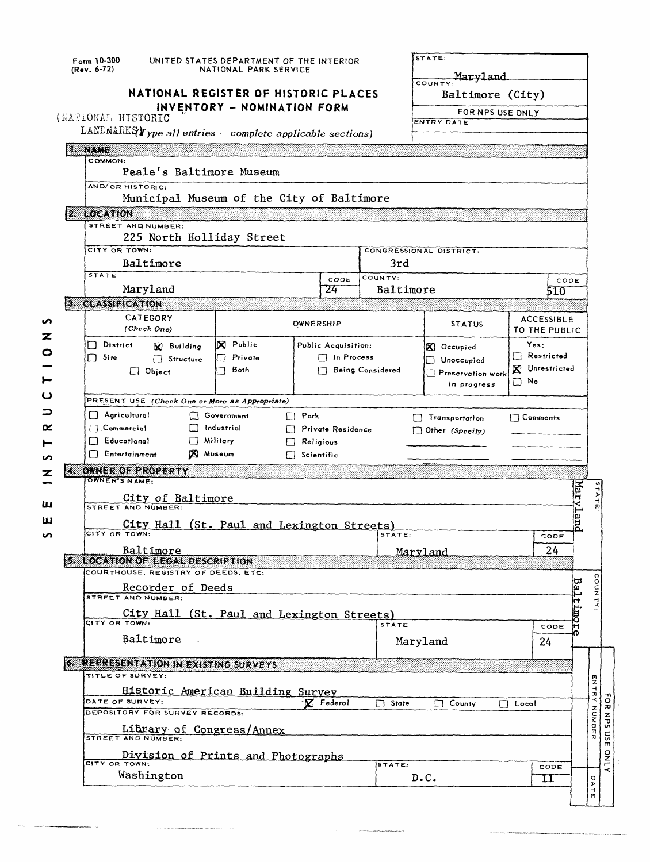| $F_{\text{arm}}$ 10-300<br>$(Rev. 6-72)$                          | UNITED STATES DEPARTMENT OF THE INTERIOR<br>NATIONAL PARK SERVICE |                                |                         | STATE:<br>Maryland<br>COUNTY:        |                                    |          |                                 |
|-------------------------------------------------------------------|-------------------------------------------------------------------|--------------------------------|-------------------------|--------------------------------------|------------------------------------|----------|---------------------------------|
| NATIONAL REGISTER OF HISTORIC PLACES                              | INVENTORY - NOMINATION FORM                                       |                                |                         | Baltimore (City)<br>FOR NPS USE ONLY |                                    |          |                                 |
| (NATIONAL HISTORIC                                                |                                                                   |                                |                         | <b>ENTRY DATE</b>                    |                                    |          |                                 |
| LANDMARKSType all entries complete applicable sections)<br>e vite |                                                                   |                                |                         |                                      |                                    |          |                                 |
| COMMON:                                                           |                                                                   |                                |                         |                                      |                                    |          |                                 |
| Peale's Baltimore Museum                                          |                                                                   |                                |                         |                                      |                                    |          |                                 |
| AND/OR HISTORIC:                                                  |                                                                   |                                |                         |                                      |                                    |          |                                 |
| Municipal Museum of the City of Baltimore                         |                                                                   |                                |                         |                                      |                                    |          |                                 |
| 2. LOCATION<br>STREET AND NUMBER:                                 |                                                                   |                                |                         |                                      |                                    |          |                                 |
| 225 North Holliday Street                                         |                                                                   |                                |                         |                                      |                                    |          |                                 |
| CITY OR TOWN:                                                     |                                                                   |                                |                         | CONGRESSIONAL DISTRICT:              |                                    |          |                                 |
| Baltimore                                                         |                                                                   |                                | 3rd                     |                                      |                                    |          |                                 |
| <b>STATE</b>                                                      |                                                                   | CODE                           | COUNTY:                 |                                      |                                    | CODE     |                                 |
| Maryland                                                          |                                                                   | 24                             | Baltimore               |                                      | 510                                |          |                                 |
| <b>SECUASSIFICATION</b>                                           |                                                                   |                                |                         |                                      |                                    |          |                                 |
| CATEGORY<br>(Check One)                                           |                                                                   | <b>OWNERSHIP</b>               |                         | <b>STATUS</b>                        | <b>ACCESSIBLE</b><br>TO THE PUBLIC |          |                                 |
| $\Box$ District<br>$\mathbf{X}$ Building                          | I⊠ Public                                                         | Public Acquisition:            |                         | <b>X</b> Occupied                    | Yes:<br>$\Box$ Restricted          |          |                                 |
| ∐ Site<br>□ Structure                                             | $\Box$ Private<br>Both                                            | $\Box$ In Process              | <b>Being Considered</b> | Unoccupied                           | <b>X</b> Unrestricted              |          |                                 |
| $\Box$ Object                                                     |                                                                   |                                |                         | Preservation work<br>in progress     | $\square$ No                       |          |                                 |
|                                                                   |                                                                   |                                |                         |                                      |                                    |          |                                 |
| PRESENT USE (Check One or More as Appropriate)                    |                                                                   |                                |                         |                                      |                                    |          |                                 |
| $\Box$ Agricultural<br>$\Box$ Commercial                          | Government<br>$\Box$ Industrial                                   | $\Box$ Pork                    |                         | Transportation                       | $\Box$ Comments                    |          |                                 |
| <b>T</b> Educational                                              | $\Box$ Military                                                   | Private Residence<br>Religious |                         | $\Box$ Other (Specify)               |                                    |          |                                 |
| $\Box$ Entertainment                                              | <b>X</b> Museum                                                   | $\Box$ Scientific              |                         |                                      |                                    |          |                                 |
| 4. OWNER OF PROPERTY                                              |                                                                   |                                |                         |                                      |                                    |          |                                 |
| OWNER'S NAME:                                                     |                                                                   |                                |                         |                                      |                                    |          |                                 |
| City of Baltimore                                                 |                                                                   |                                |                         |                                      |                                    | Maryland | TAT                             |
| STREET AND NUMBER:                                                |                                                                   |                                |                         |                                      |                                    |          | m                               |
| City Hall (St. Paul and Lexington Streets)                        |                                                                   |                                |                         |                                      |                                    |          |                                 |
| CITY OR TOWN:                                                     |                                                                   |                                | STATE:                  |                                      | CODE                               |          |                                 |
| Baltimore<br>5 LOCATION OF LEGAL DESCRIPTION                      |                                                                   |                                |                         | Maryland                             | 24                                 |          |                                 |
| COURTHOUSE, REGISTRY OF DEEDS, ETC:                               |                                                                   |                                |                         |                                      |                                    |          |                                 |
| Recorder of Deeds                                                 |                                                                   |                                |                         |                                      |                                    | Baltimqr |                                 |
| STREET AND NUMBER:                                                |                                                                   |                                |                         |                                      |                                    |          | COUNTY                          |
| City Hall (St. Paul and Lexington Streets)<br>CITY OR TOWN:       |                                                                   |                                |                         |                                      |                                    |          |                                 |
|                                                                   |                                                                   |                                | <b>STATE</b>            |                                      | CODE                               |          |                                 |
| Baltimore                                                         |                                                                   |                                |                         | Maryland                             | 24                                 |          |                                 |
| <b>6. REPRESENTATION IN EXISTING SURVEYS</b>                      |                                                                   |                                |                         |                                      |                                    |          |                                 |
| TITLE OF SURVEY:                                                  |                                                                   |                                |                         |                                      |                                    |          |                                 |
|                                                                   |                                                                   |                                |                         |                                      |                                    |          |                                 |
|                                                                   |                                                                   |                                |                         | County<br>n                          | $\Box$ Local                       |          |                                 |
| Historic American Building Survey<br>DATE OF SURVEY:              |                                                                   | M Federol                      | $\Box$ State            |                                      |                                    |          |                                 |
| DEPOSITORY FOR SURVEY RECORDS:                                    |                                                                   |                                |                         |                                      |                                    |          |                                 |
| Library of Congress/Annex                                         |                                                                   |                                |                         |                                      |                                    |          |                                 |
| <b>STREET AND NUMBER:</b>                                         |                                                                   |                                |                         |                                      |                                    |          |                                 |
| <u>Division of Prints and Photographs</u><br>CITY OR TOWN:        |                                                                   |                                | STATE:                  |                                      |                                    |          |                                 |
| Washington                                                        |                                                                   |                                |                         | D.C.                                 | CODE<br>11                         |          | ENTRY NUMBER<br>O<br><b>ATE</b> |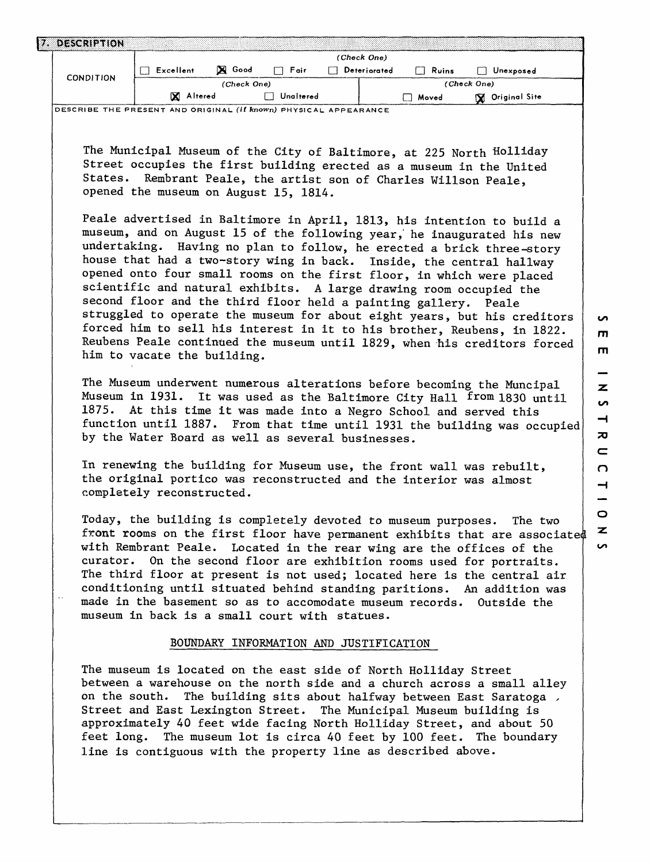| u. | DESCRIPTION      |           |             |           |              |       |                    |  |
|----|------------------|-----------|-------------|-----------|--------------|-------|--------------------|--|
|    |                  |           |             |           | (Check One)  |       |                    |  |
|    | <b>CONDITION</b> | Excellent | x<br>Good   | Fair      | Deteriorated | Ruins | Unexposed          |  |
|    |                  |           | (Check One) |           |              |       | (Check One)        |  |
|    |                  | Altered   |             | Unaltered |              | Moved | Original Site<br>X |  |

**DESCRIBE THE PRESENT AND ORIGINAL (if known) PHYSICAL APPEARANCE**

The Municipal Museum of the City of Baltimore, at 225 North Holliday Street occupies the first building erected as a museum in the United States. Rembrant Peale, the artist son of Charles Willson Peale, opened the museum on August 15, 1814.

Peale advertised in Baltimore in April, 1813, his intention to build a museum, and on August 15 of the following year,' he inaugurated his new undertaking. Having no plan to follow, he erected a brick three-story house that had a two-story wing in back. Inside, the central hallway opened onto four small rooms on the first floor, in which were placed scientific and natural exhibits. A large drawing room occupied the second floor and the third floor held a painting gallery. Peale struggled to operate the museum for about eight years, but his creditors forced him to sell his interest in it to his brother, Reubens, in 1822. Reubens Peale continued the museum until 1829, when his creditors forced him to vacate the building.

The Museum underwent numerous alterations before becoming the Muncipal Museum in 1931. It was used as the Baltimore City Hall from 1830 until 1875. At this time it was made into a Negro School and served this function until 1887. From that time until 1931 the building was occupied by the Water Board as well as several businesses.

In renewing the building for Museum use, the front wall was rebuilt, the original portico was reconstructed and the interior was almost completely reconstructed.

Today, the building is completely devoted to museum purposes. The two front rooms on the first floor have permanent exhibits that are associated with Rembrant Peale. Located in the rear wing are the offices of the curator. On the second floor are exhibition rooms used for portraits. The third floor at present is not used; located here is the central air conditioning until situated behind standing paritions. An addition was made in the basement so as to accomodate museum records. Outside the museum in back is a small court with statues.

#### BOUNDARY INFORMATION AND JUSTIFICATION

The museum is located on the east side of North Holliday Street between a warehouse on the north side and a church across a small alley on the south. The building sits about halfway between East Saratoga , Street and East Lexington Street. The Municipal Museum building is approximately 40 feet wide facing North Holliday Street, and about 50 feet long. The museum lot is circa 40 feet by 100 feet. The boundary line is contiguous with the property line as described above.

 $\overline{a}$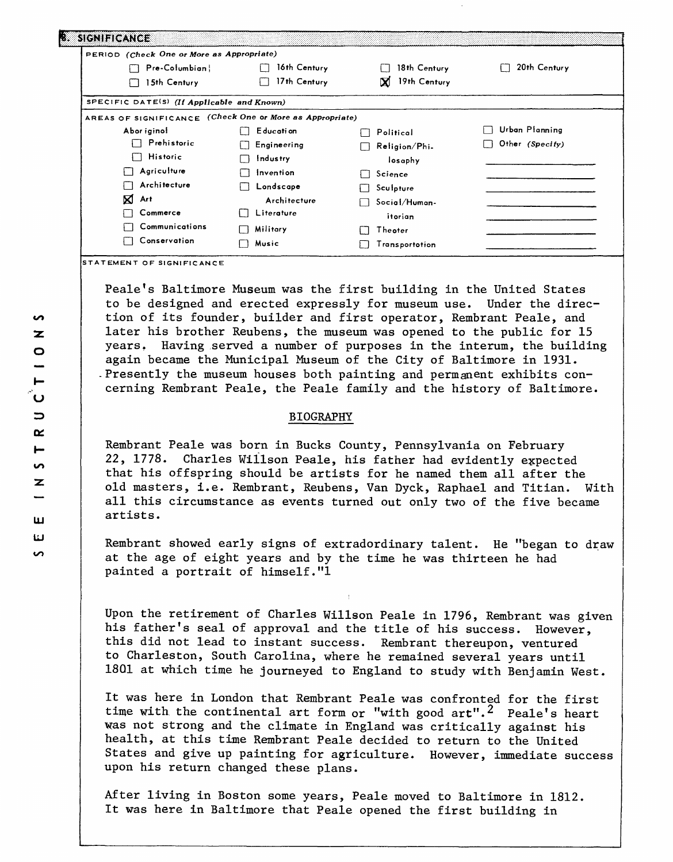| PERIOD (Check One or More as Appropriate)                |                              |                   |                 |
|----------------------------------------------------------|------------------------------|-------------------|-----------------|
| Pre-Columbian                                            | 16th Century<br>$\mathbf{1}$ | 18th Century      | 20th Century    |
| 15th Century                                             | 17th Century                 | ×<br>19th Century |                 |
| SPECIFIC DATE(S) (If Applicable and Known)               |                              |                   |                 |
| AREAS OF SIGNIFICANCE (Check One or More as Appropriate) |                              |                   |                 |
| Abor iginol                                              | E ducati on                  | Political         | Urban Planning  |
| Prehistoric                                              | Engineering                  | Religion/Phi-     | Other (Specify) |
| Historic                                                 | Industry                     | losaphy           |                 |
| Agriculture                                              | Invention                    | Science           |                 |
| Architecture                                             | Londscape                    | Sculpture         |                 |
| K.<br>Art                                                | Architecture                 | Social/Human-     |                 |
| Commerce                                                 | Literature                   | itorian           |                 |
| Communications                                           | Military                     | Theoter           |                 |
| Conservation                                             | Music                        | Transportotion    |                 |

Peale's Baltimore Museum was the first building in the United States to be designed and erected expressly for museum use. Under the direction of its founder, builder and first operator, Rembrant Peale, and later his brother Reubens, the museum was opened to the public for 15 years. Having served a number of purposes in the interum, the building again became the Municipal Museum of the City of Baltimore in 1931. .Presently the museum houses both painting and permanent exhibits concerning Rembrant Peale, the Peale family and the history of Baltimore.

#### BIOGRAPHY

Rembrant Peale was born in Bucks County, Pennsylvania on February 22, 1778. Charles Willson Peale, his father had evidently expected that his offspring should be artists for he named them all after the old masters, i.e. Rembrant, Reubens, Van Dyck, Raphael and Titian. With all this circumstance as events turned out only two of the five became artists.

Rembrant showed early signs of extradordinary talent. He "began to draw at the age of eight years and by the time he was thirteen he had painted a portrait of himself."!

Upon the retirement of Charles Willson Peale in 1796, Rembrant was given his father's seal of approval and the title of his success. However, this did not lead to instant success. Rembrant thereupon, ventured to Charleston, South Carolina, where he remained several years until 1801 at which time he journeyed to England to study with Benjamin West.

It was here in London that Rembrant Peale was confronted for the first time with the continental art form or "with good  $art$ ".<sup>2</sup> Peale's heart was not strong and the climate in England was critically against his health, at this time Rembrant Peale decided to return to the United States and give up painting for agriculture. However, immediate success upon his return changed these plans.

After living in Boston some years, Peale moved to Baltimore in 1812. It was here in Baltimore that Peale opened the first building in

**SA**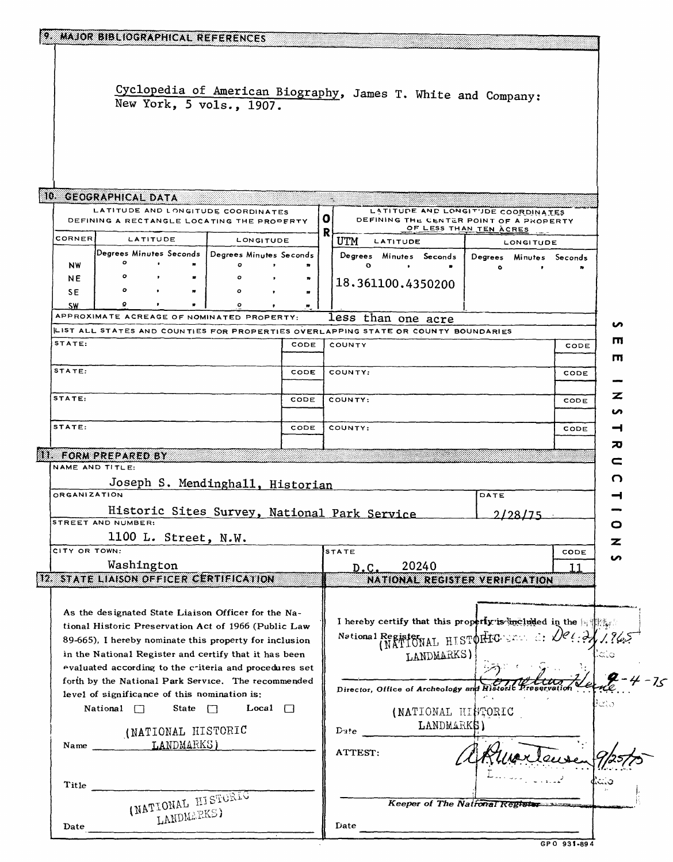|                     | 9. MAJOR BIBLIOGRAPHICAL REFERENCES                                                                         |              |          |                        |                   |                    |                   |                                        |                                                                   |           |                                                             |
|---------------------|-------------------------------------------------------------------------------------------------------------|--------------|----------|------------------------|-------------------|--------------------|-------------------|----------------------------------------|-------------------------------------------------------------------|-----------|-------------------------------------------------------------|
|                     | Cyclopedia of American Biography, James T. White and Company:<br>New York, 5 vols., 1907.                   |              |          |                        |                   |                    |                   |                                        |                                                                   |           |                                                             |
|                     |                                                                                                             |              |          |                        |                   |                    |                   |                                        |                                                                   |           |                                                             |
|                     | 10. GEOGRAPHICAL DATA<br>LATITUDE AND LONGITUDE COORDINATES                                                 |              |          |                        |                   | ÷,                 |                   |                                        | LATITUDE AND LONGIT'JDE COORDINATES                               |           |                                                             |
|                     | DEFINING A RECTANGLE LOCATING THE PROPERTY                                                                  |              |          |                        | $\mathbf{o}$<br>R |                    |                   |                                        | DEFINING THE CENTER POINT OF A PROPERTY<br>OF LESS THAN TEN ACRES |           |                                                             |
| CORNER              | LATITUDE                                                                                                    |              |          | LONGITUDE              |                   | UTM                | LATITUDE          |                                        |                                                                   | LONGITUDE |                                                             |
| <b>NW</b>           | Degrees Minutes Seconds   Degrees Minutes Seconds<br>۰                                                      |              | $\circ$  | $\bullet$<br>$\bullet$ |                   | $\circ$            | $\bullet$         | Degrees Minutes Seconds (              |                                                                   |           | Degrees Minutes Seconds                                     |
| NE                  | $\circ$                                                                                                     |              | $\circ$  |                        |                   |                    |                   |                                        | $\bullet$                                                         |           | $\bullet$                                                   |
| <b>SE</b>           | $\circ$                                                                                                     |              |          |                        |                   |                    | 18,361100,4350200 |                                        |                                                                   |           |                                                             |
| SW                  | $\circ$                                                                                                     |              | $\Omega$ |                        |                   |                    |                   |                                        |                                                                   |           |                                                             |
|                     | APPROXIMATE ACREAGE OF NOMINATED PROPERTY:                                                                  |              |          |                        |                   | less than one acre |                   |                                        |                                                                   |           |                                                             |
|                     | LIST ALL STATES AND COUNTIES FOR PROPERTIES OVERLAPPING STATE OR COUNTY BOUNDARIES                          |              |          |                        |                   |                    |                   |                                        |                                                                   |           |                                                             |
| STATE:              |                                                                                                             |              |          | CODE                   |                   | COUNTY             |                   |                                        |                                                                   |           | CODE                                                        |
| STATE:              |                                                                                                             |              |          | CODE                   |                   | COUNTY:            |                   |                                        |                                                                   |           | CODE                                                        |
| STATE:              |                                                                                                             |              |          |                        |                   |                    |                   |                                        |                                                                   |           |                                                             |
|                     |                                                                                                             |              |          | CODE                   |                   | COUNTY:            |                   |                                        |                                                                   |           | CODE                                                        |
| STATE:              |                                                                                                             |              |          | CODE                   |                   | COUNTY:            |                   |                                        |                                                                   |           | CODE                                                        |
|                     |                                                                                                             |              |          |                        |                   |                    |                   |                                        |                                                                   |           |                                                             |
|                     | 11. FORM PREPARED BY                                                                                        |              |          |                        |                   |                    |                   |                                        |                                                                   |           |                                                             |
|                     | NAME AND TITLE:                                                                                             |              |          |                        |                   |                    |                   |                                        |                                                                   |           |                                                             |
|                     | Joseph S. Mendinghall, Historian                                                                            |              |          |                        |                   |                    |                   |                                        |                                                                   |           |                                                             |
| <b>ORGANIZATION</b> |                                                                                                             |              |          |                        |                   |                    |                   |                                        | DATE                                                              |           |                                                             |
|                     | Historic Sites Survey, National Park Service                                                                |              |          |                        |                   |                    |                   |                                        |                                                                   | 2/28/75   |                                                             |
|                     | STREET AND NUMBER:                                                                                          |              |          |                        |                   |                    |                   |                                        |                                                                   |           |                                                             |
|                     | 1100 L. Street, N.W.                                                                                        |              |          |                        |                   |                    |                   |                                        |                                                                   |           |                                                             |
| CITY OR TOWN:       |                                                                                                             |              |          |                        |                   | STATE              |                   |                                        |                                                                   |           | CODE                                                        |
|                     | Washington<br><b>12 STATELIAISON DEFICER CERTIFICATION</b>                                                  |              |          |                        |                   | D.C.               | 20240             |                                        | NATIONAL REGISTER VERIFICATION                                    |           | 11                                                          |
|                     |                                                                                                             |              |          |                        |                   |                    |                   |                                        |                                                                   |           |                                                             |
|                     | As the designated State Liaison Officer for the Na-<br>tional Historic Preservation Act of 1966 (Public Law |              |          |                        |                   |                    |                   |                                        |                                                                   |           | I hereby certify that this properly is included in the soft |
|                     | 89-665), I hereby nominate this property for inclusion                                                      |              |          |                        |                   |                    |                   |                                        | National Register<br>(NATIONAL HISTORIC SEC.                      |           |                                                             |
|                     | in the National Register and certify that it has been                                                       |              |          |                        |                   |                    |                   | LANDMARKS)                             |                                                                   |           |                                                             |
|                     | evaluated according to the criteria and procedures set                                                      |              |          |                        |                   |                    |                   |                                        |                                                                   |           |                                                             |
|                     | forth by the National Park Service. The recommended<br>level of significance of this nomination is:         |              |          |                        |                   |                    |                   | Director, Office of Archeology and His |                                                                   |           |                                                             |
|                     | National $\Box$                                                                                             | State $\Box$ |          | Local $\Box$           |                   |                    |                   |                                        |                                                                   |           | ಲಾ                                                          |
|                     |                                                                                                             |              |          |                        |                   |                    |                   |                                        | (NATIONAL HISTORIC                                                |           |                                                             |
|                     | (NATIONAL HISTORIC                                                                                          |              |          |                        |                   | $D3$ te            |                   | LANDMARKS)                             |                                                                   |           |                                                             |
|                     |                                                                                                             |              |          |                        |                   | ATTEST:            |                   |                                        |                                                                   |           |                                                             |
|                     |                                                                                                             |              |          |                        |                   |                    |                   |                                        |                                                                   |           |                                                             |
|                     |                                                                                                             |              |          |                        |                   |                    |                   |                                        |                                                                   |           |                                                             |
| Title               |                                                                                                             |              |          |                        |                   |                    |                   |                                        |                                                                   |           |                                                             |
|                     |                                                                                                             |              |          |                        |                   |                    |                   |                                        | Keeper of The National Register                                   |           |                                                             |
| Date                | (NATIONAL HISTORIC<br>LANDMARKS)                                                                            |              |          |                        |                   | Date               |                   |                                        |                                                                   |           |                                                             |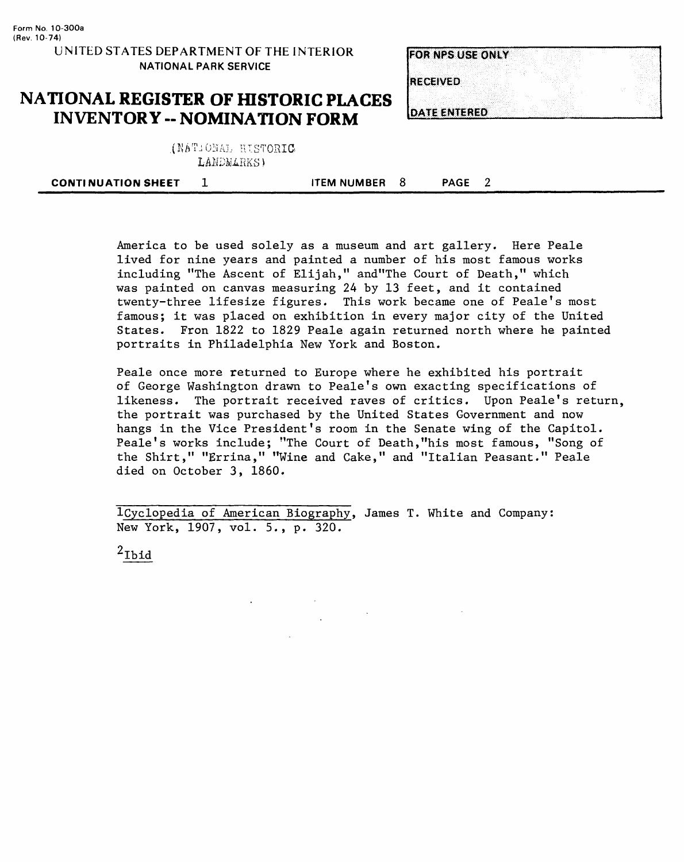#### **UNITED STATES DEPARTMENT OF THE INTERIOR NATIONAL PARK SERVICE**

### **NATIONAL REGISTER OF HISTORIC PLACES INVENTORY - NOMINATION FORM**

| <b>IFOR NPS USE ONLY</b> |  |  |
|--------------------------|--|--|
|                          |  |  |
| <b>RECEIVED</b>          |  |  |
|                          |  |  |
| <b>DATE ENTERED</b>      |  |  |

| (NATIONAL HISTORIC |  |
|--------------------|--|
| LANDMARKS)         |  |

**CONTINUATION SHEET 1 ITEM NUMBER 8 PAGE 2** 

America to be used solely as a museum and art gallery. Here Peale lived for nine years and painted a number of his most famous works including "The Ascent of Elijah," and"The Court of Death," which was painted on canvas measuring 24 by 13 feet, and it contained twenty-three lifesize figures. This work became one of Peale's most famous; it was placed on exhibition in every major city of the United States. Fron 1822 to 1829 Peale again returned north where he painted portraits in Philadelphia New York and Boston.

Peale once more returned to Europe where he exhibited his portrait of George Washington drawn to Peale's own exacting specifications of likeness. The portrait received raves of critics. Upon Peale's return, the portrait was purchased by the United States Government and now hangs in the Vice President's room in the Senate wing of the Capitol. Peale's works include; "The Court of Death, "his most famous, "Song of the Shirt," "Errina," "Wine and Cake," and "Italian Peasant." Peale died on October 3, 1860.

ICyclopedia of American Biography, James T. White and Company: New York, 1907, vol. 5., p. 320.

 $2$ Ibid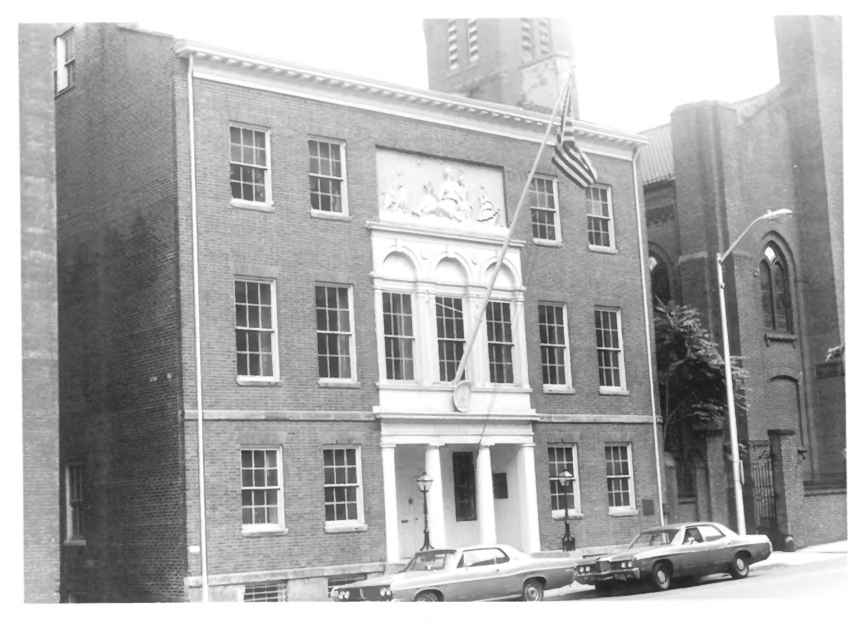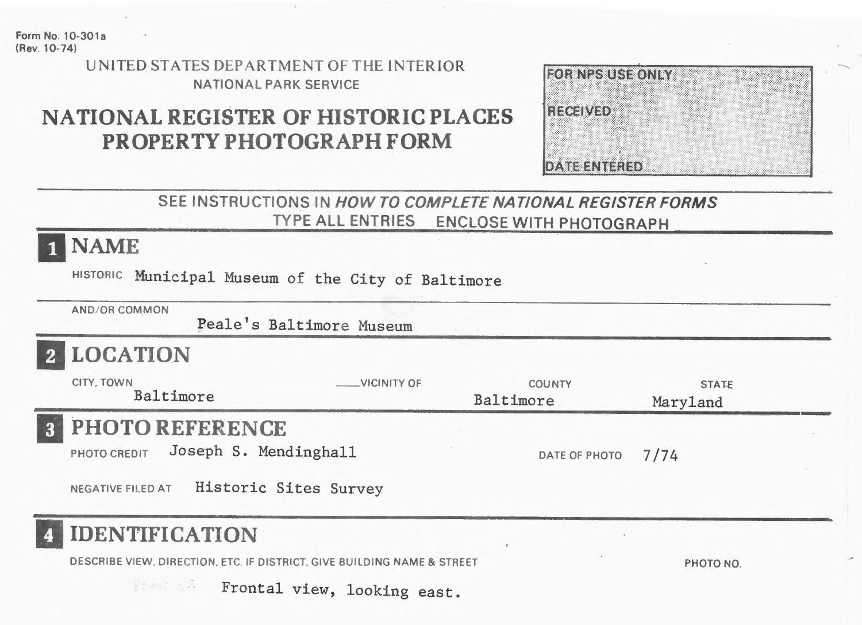**Form No. 10-301 a (Rev. 10-74)**

> **UNITED STATES DEPARTMENT OF THE INTERIOR NATIONAL PARK SERVICE**

# **NATIONAL REGISTER OF HISTORIC PLACES RECEIVED PROPERTY PHOTOGRAPH FORM**



### **SEE INSTRUCTIONS IN HOW TO COMPLETE NATIONAL REGISTER FORMS \_\_\_\_\_\_\_\_\_\_\_\_\_\_\_\_\_TYPE ALL ENTRIES ENCLOSE WITH PHOTOGRAPH\_\_\_\_\_\_\_**

## NAME

HISTORIC Municipal Museum of the City of Baltimore

| AND/OR COMMON<br>Peale's Baltimore Museum                                                                                       |             |                            |                          |
|---------------------------------------------------------------------------------------------------------------------------------|-------------|----------------------------|--------------------------|
| <b>LOCATION</b>                                                                                                                 |             |                            |                          |
| CITY, TOWN<br>Baltimore                                                                                                         | VICINITY OF | <b>COUNTY</b><br>Baltimore | <b>STATE</b><br>Maryland |
| PHOTO REFERENCE<br>Joseph S. Mendinghall<br>PHOTO CREDIT<br>Historic Sites Survey<br>NEGATIVE FILED AT                          |             | DATE OF PHOTO              | 7/74                     |
| <b>IDENTIFICATION</b><br>DESCRIBE VIEW, DIRECTION, ETC. IF DISTRICT, GIVE BUILDING NAME & STREET<br>Frontal view, looking east. |             |                            | PHOTO NO.                |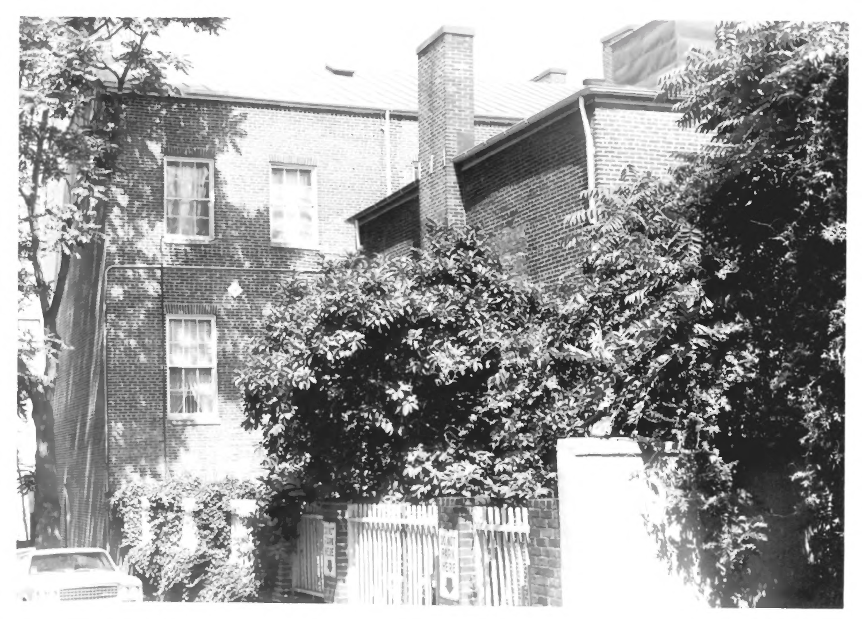